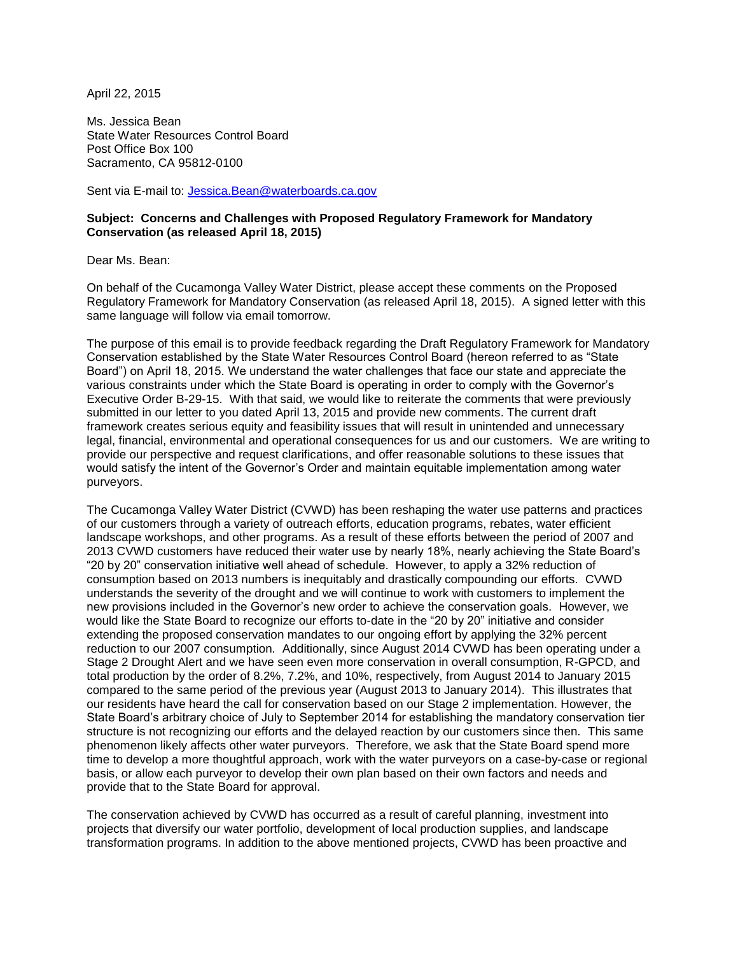April 22, 2015

Ms. Jessica Bean State Water Resources Control Board Post Office Box 100 Sacramento, CA 95812-0100

Sent via E-mail to: [Jessica.Bean@waterboards.ca.gov](mailto:Jessica.Bean@waterboards.ca.gov)

## **Subject: Concerns and Challenges with Proposed Regulatory Framework for Mandatory Conservation (as released April 18, 2015)**

Dear Ms. Bean:

On behalf of the Cucamonga Valley Water District, please accept these comments on the Proposed Regulatory Framework for Mandatory Conservation (as released April 18, 2015). A signed letter with this same language will follow via email tomorrow.

The purpose of this email is to provide feedback regarding the Draft Regulatory Framework for Mandatory Conservation established by the State Water Resources Control Board (hereon referred to as "State Board") on April 18, 2015. We understand the water challenges that face our state and appreciate the various constraints under which the State Board is operating in order to comply with the Governor's Executive Order B-29-15. With that said, we would like to reiterate the comments that were previously submitted in our letter to you dated April 13, 2015 and provide new comments. The current draft framework creates serious equity and feasibility issues that will result in unintended and unnecessary legal, financial, environmental and operational consequences for us and our customers. We are writing to provide our perspective and request clarifications, and offer reasonable solutions to these issues that would satisfy the intent of the Governor's Order and maintain equitable implementation among water purveyors.

The Cucamonga Valley Water District (CVWD) has been reshaping the water use patterns and practices of our customers through a variety of outreach efforts, education programs, rebates, water efficient landscape workshops, and other programs. As a result of these efforts between the period of 2007 and 2013 CVWD customers have reduced their water use by nearly 18%, nearly achieving the State Board's "20 by 20" conservation initiative well ahead of schedule. However, to apply a 32% reduction of consumption based on 2013 numbers is inequitably and drastically compounding our efforts. CVWD understands the severity of the drought and we will continue to work with customers to implement the new provisions included in the Governor's new order to achieve the conservation goals. However, we would like the State Board to recognize our efforts to-date in the "20 by 20" initiative and consider extending the proposed conservation mandates to our ongoing effort by applying the 32% percent reduction to our 2007 consumption. Additionally, since August 2014 CVWD has been operating under a Stage 2 Drought Alert and we have seen even more conservation in overall consumption, R-GPCD, and total production by the order of 8.2%, 7.2%, and 10%, respectively, from August 2014 to January 2015 compared to the same period of the previous year (August 2013 to January 2014). This illustrates that our residents have heard the call for conservation based on our Stage 2 implementation. However, the State Board's arbitrary choice of July to September 2014 for establishing the mandatory conservation tier structure is not recognizing our efforts and the delayed reaction by our customers since then. This same phenomenon likely affects other water purveyors. Therefore, we ask that the State Board spend more time to develop a more thoughtful approach, work with the water purveyors on a case-by-case or regional basis, or allow each purveyor to develop their own plan based on their own factors and needs and provide that to the State Board for approval.

The conservation achieved by CVWD has occurred as a result of careful planning, investment into projects that diversify our water portfolio, development of local production supplies, and landscape transformation programs. In addition to the above mentioned projects, CVWD has been proactive and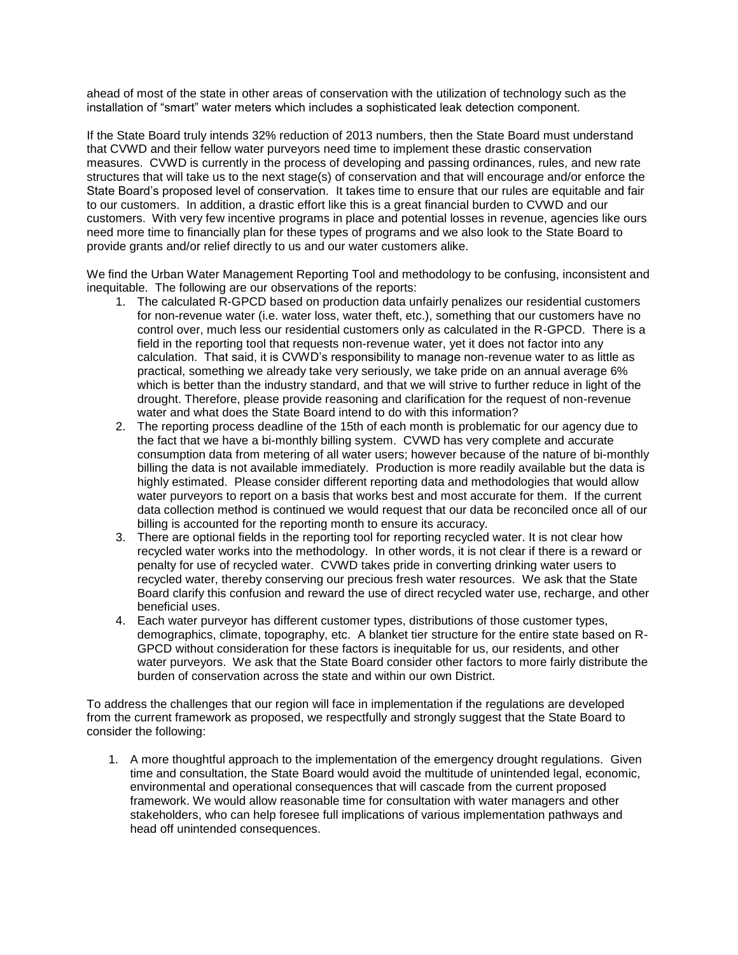ahead of most of the state in other areas of conservation with the utilization of technology such as the installation of "smart" water meters which includes a sophisticated leak detection component.

If the State Board truly intends 32% reduction of 2013 numbers, then the State Board must understand that CVWD and their fellow water purveyors need time to implement these drastic conservation measures. CVWD is currently in the process of developing and passing ordinances, rules, and new rate structures that will take us to the next stage(s) of conservation and that will encourage and/or enforce the State Board's proposed level of conservation. It takes time to ensure that our rules are equitable and fair to our customers. In addition, a drastic effort like this is a great financial burden to CVWD and our customers. With very few incentive programs in place and potential losses in revenue, agencies like ours need more time to financially plan for these types of programs and we also look to the State Board to provide grants and/or relief directly to us and our water customers alike.

We find the Urban Water Management Reporting Tool and methodology to be confusing, inconsistent and inequitable. The following are our observations of the reports:

- 1. The calculated R-GPCD based on production data unfairly penalizes our residential customers for non-revenue water (i.e. water loss, water theft, etc.), something that our customers have no control over, much less our residential customers only as calculated in the R-GPCD. There is a field in the reporting tool that requests non-revenue water, yet it does not factor into any calculation. That said, it is CVWD's responsibility to manage non-revenue water to as little as practical, something we already take very seriously, we take pride on an annual average 6% which is better than the industry standard, and that we will strive to further reduce in light of the drought. Therefore, please provide reasoning and clarification for the request of non-revenue water and what does the State Board intend to do with this information?
- 2. The reporting process deadline of the 15th of each month is problematic for our agency due to the fact that we have a bi-monthly billing system. CVWD has very complete and accurate consumption data from metering of all water users; however because of the nature of bi-monthly billing the data is not available immediately. Production is more readily available but the data is highly estimated. Please consider different reporting data and methodologies that would allow water purveyors to report on a basis that works best and most accurate for them. If the current data collection method is continued we would request that our data be reconciled once all of our billing is accounted for the reporting month to ensure its accuracy.
- 3. There are optional fields in the reporting tool for reporting recycled water. It is not clear how recycled water works into the methodology. In other words, it is not clear if there is a reward or penalty for use of recycled water. CVWD takes pride in converting drinking water users to recycled water, thereby conserving our precious fresh water resources. We ask that the State Board clarify this confusion and reward the use of direct recycled water use, recharge, and other beneficial uses.
- 4. Each water purveyor has different customer types, distributions of those customer types, demographics, climate, topography, etc. A blanket tier structure for the entire state based on R-GPCD without consideration for these factors is inequitable for us, our residents, and other water purveyors. We ask that the State Board consider other factors to more fairly distribute the burden of conservation across the state and within our own District.

To address the challenges that our region will face in implementation if the regulations are developed from the current framework as proposed, we respectfully and strongly suggest that the State Board to consider the following:

1. A more thoughtful approach to the implementation of the emergency drought regulations. Given time and consultation, the State Board would avoid the multitude of unintended legal, economic, environmental and operational consequences that will cascade from the current proposed framework. We would allow reasonable time for consultation with water managers and other stakeholders, who can help foresee full implications of various implementation pathways and head off unintended consequences.